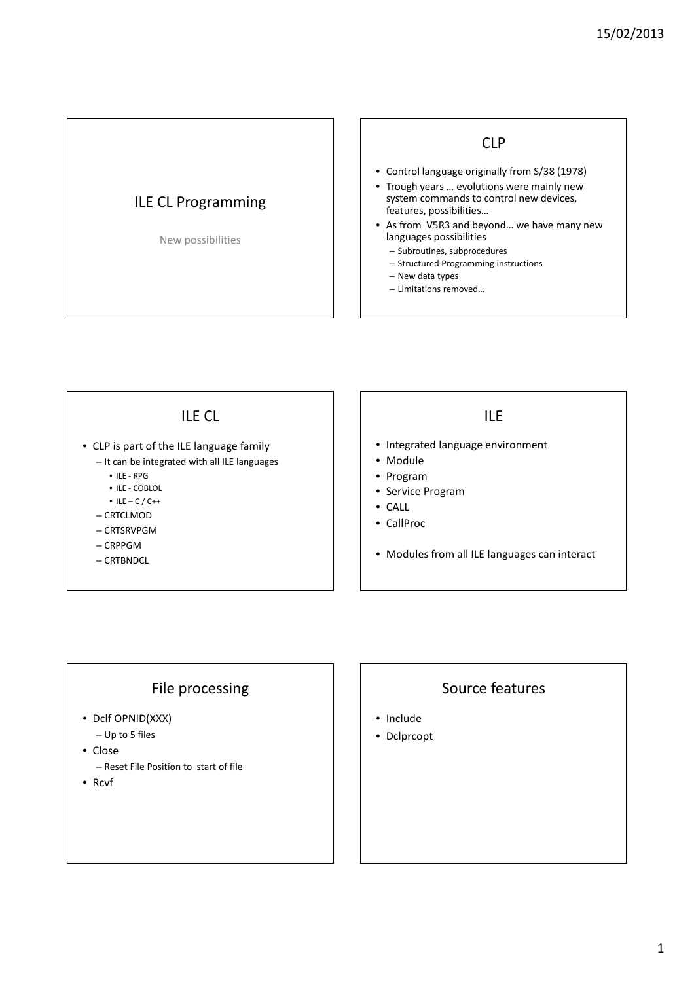# ILE CL Programming

#### New possibilities

#### CLP

- Control language originally from S/38 (1978)
- Trough years … evolutions were mainly new system commands to control new devices, features, possibilities…
- As from V5R3 and beyond… we have many new languages possibilities
	- Subroutines, subprocedures
	- Structured Programming instructions
	- New data types
	- Limitations removed…

#### ILE CL

- CLP is part of the ILE language family
	- It can be integrated with all ILE languages
		- ILE RPG
		- ILE COBLOL
		- $\bullet$  ILE C / C++
	- CRTCLMOD
	- CRTSRVPGM
	- CRPPGM
	- CRTBNDCL

# ILE

- Integrated language environment
- Module
- Program
- Service Program
- CALL
- CallProc
- Modules from all ILE languages can interact

#### File processing

- Dclf OPNID(XXX)
	- Up to 5 files
- Close
	- Reset File Position to start of file
- Rcvf

#### Source features

- Include
- Dclprcopt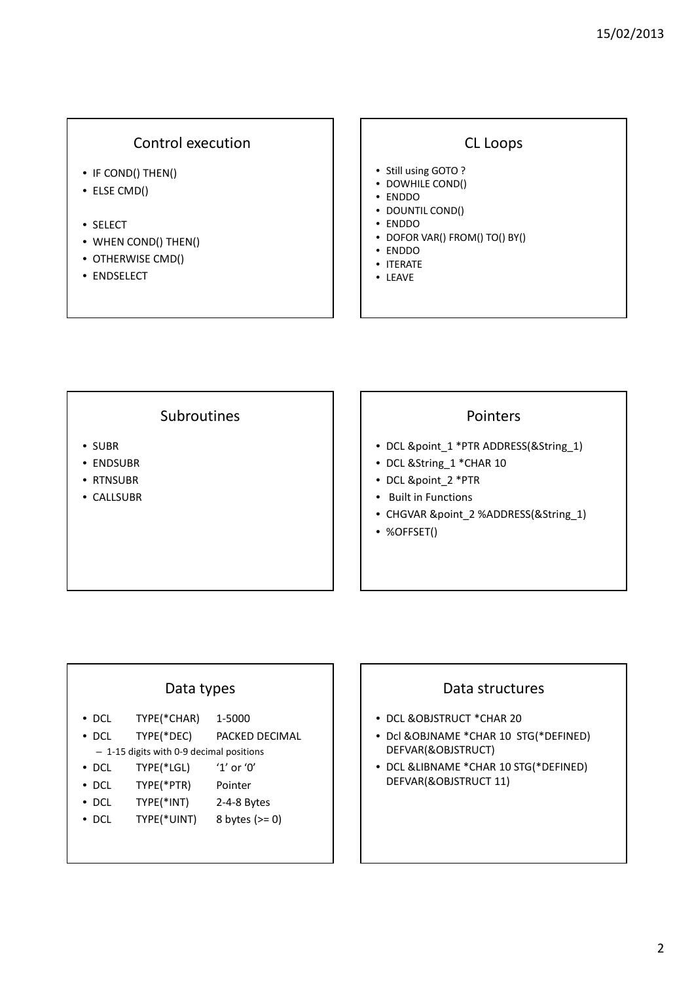#### Control execution

- IF COND() THEN()
- ELSE CMD()
- SELECT
- WHEN COND() THEN()
- OTHERWISE CMD()
- ENDSELECT

#### CL Loops

- Still using GOTO ?
- DOWHILE COND()
- ENDDO
- DOUNTIL COND()
- ENDDO
- DOFOR VAR() FROM() TO() BY()
- ENDDO
- ITERATE
- LEAVE

#### **Subroutines**

- SUBR
- ENDSUBR
- RTNSUBR
- CALLSUBR

#### Pointers

- DCL &point\_1 \*PTR ADDRESS(&String\_1)
- DCL &String\_1 \*CHAR 10
- DCL &point\_2 \*PTR
- Built in Functions
- CHGVAR &point\_2 %ADDRESS(&String\_1)
- %OFFSET()

# Data types • DCL TYPE(\*CHAR) 1-5000 • DCL TYPE(\*DEC) PACKED DECIMAL – 1-15 digits with 0-9 decimal positions • DCL TYPE(\*LGL) '1' or '0' • DCL TYPE(\*PTR) Pointer • DCL TYPE(\*INT) 2-4-8 Bytes

• DCL TYPE(\*UINT) 8 bytes  $(>= 0)$ 

# Data structures

- DCL &OBJSTRUCT \*CHAR 20
- Dcl &OBJNAME \*CHAR 10 STG(\*DEFINED) DEFVAR(&OBJSTRUCT)
- DCL &LIBNAME \*CHAR 10 STG(\*DEFINED) DEFVAR(&OBJSTRUCT 11)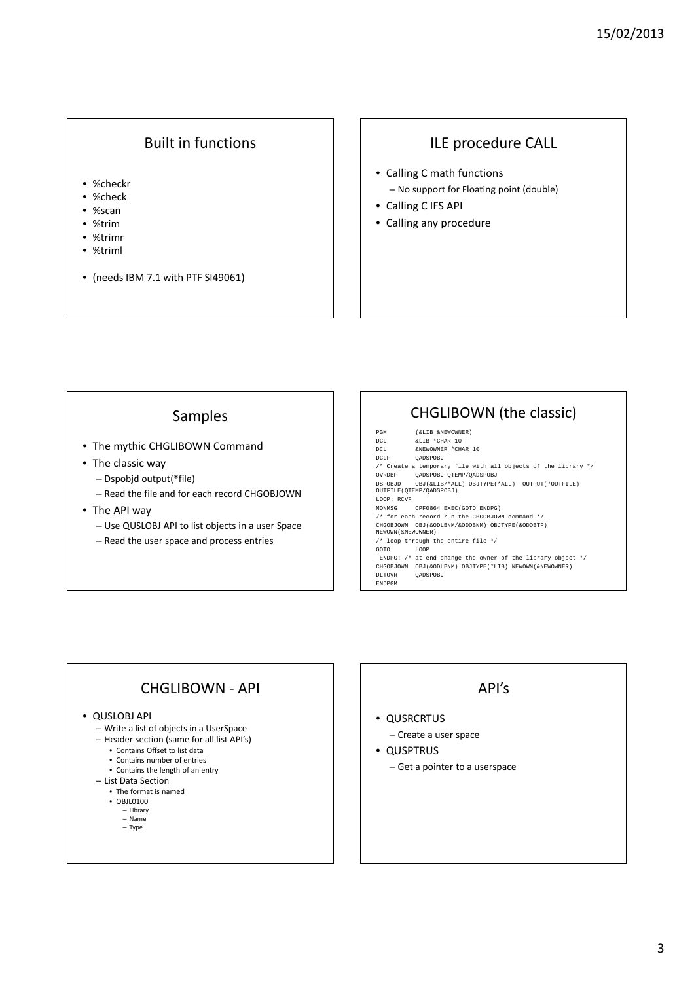## Built in functions

- %checkr
- %check
- %scan
- %trim
- %trimr
- %triml
- (needs IBM 7.1 with PTF SI49061)

#### ILE procedure CALL

- Calling C math functions – No support for Floating point (double)
- Calling C IFS API
- Calling any procedure

#### Samples

- The mythic CHGLIBOWN Command
- The classic way
	- Dspobjd output(\*file)
	- Read the file and for each record CHGOBJOWN
- The API way
	- Use QUSLOBJ API to list objects in a user Space
	- Read the user space and process entries

# CHGLIBOWN (the classic)

PGM (&LIB &NEWOWNER)<br>DCL &LIB \*CHAR 10 DCL &LIB \*CHAR 10 DCL &NEWOWNER \*CHAR 10 DCLF QADSPOBJ /\* Create a temporary file with all objects of the library \*/ OVRDBF QADSPOBJ QTEMP/QADSPOBJ DSPOBJD OBJ(&LIB/\*ALL) OBJTYPE(\*ALL) OUTPUT(\*OUTFILE) OUTFILE(QTEMP/QADSPOBJ) LOOP: RCVF<br>MONMSG .<br>CPF0864 EXEC(GOTO ENDPG)  $\hspace{0.1mm}/^*$  for each record run the CHGOBJOWN command  $\hspace{0.1mm}^*/$ CHGOBJOWN OBJ(&ODLBNM/&ODOBNM) OBJTYPE(&ODOBTP) NEWOWN(&NEWOWNER) /\* loop through the entire file \*/ GOTO LOOP ENDPG: /\* at end change the owner of the library object \*/ CHGOBJOWN OBJ(&ODLBNM) OBJTYPE(\*LIB) NEWOWN(&NEWOWNER) DLTOVR QADSPOBJ ENDPGM

## CHGLIBOWN - API

#### • QUSLOBJ API

- Write a list of objects in a UserSpace
- Header section (same for all list API's)
	- Contains Offset to list data
	- Contains number of entries
	- Contains the length of an entry
- List Data Section • The format is named
	- OBJL0100
	- Library
	- Name
	- Type

#### API's

#### • QUSRCRTUS

- Create a user space
- QUSPTRUS
	- Get a pointer to a userspace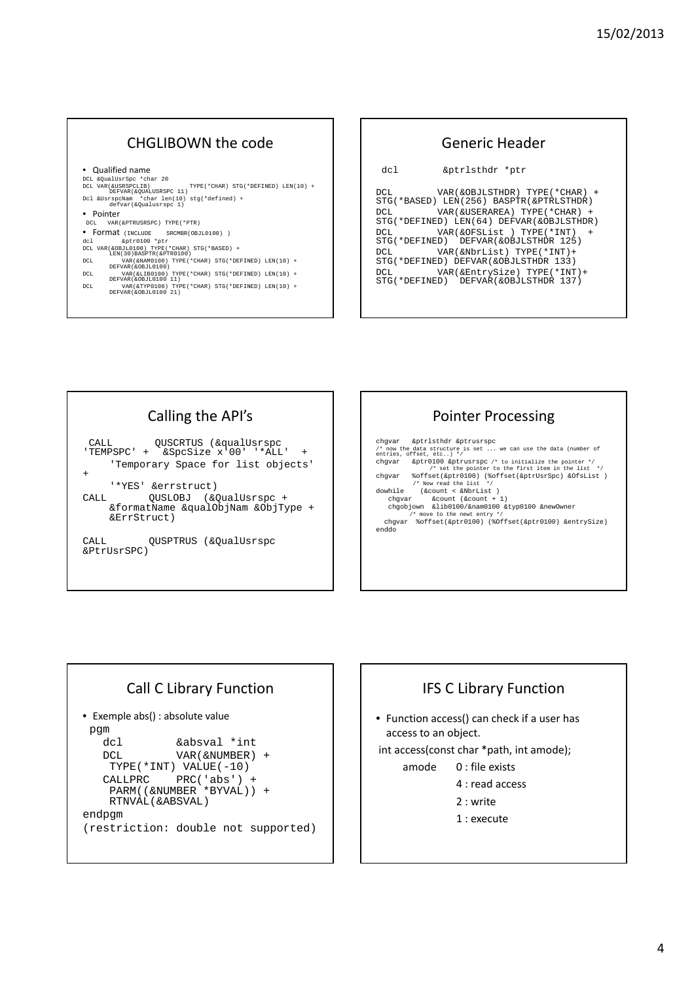#### CHGLIBOWN the code

#### • Qualified name

DCL &QualUsrSpc \*char 20 DCL VAR(&USRSPCLIB) TYPE(\*CHAR) STG(\*DEFINED) LEN(10) + DEFVAR(&QUALUSRSPC 11)

- Dcl &UsrspcNam \*char len(10) stg(\*defined) + defvar(&Qualusrspc 1)
- Pointer
- DCL VAR(&PTRUSRSPC) TYPE(\*PTR)
- 
- 
- Format (INCLUDE SRCMBR(OBJL0100))<br>
dc1<br>
DCL VAR(&OBJL0100) TYPE(\*CHAR) STG(\*BASED) +<br>
LEN(30)BASPTR(&PTR0100)<br>
DCL VAR(&NAM0100) TYPE(\*CHAR) STG(\*DEFINED) LEN(10) +<br>
DEFVAR(&OBJL0100) TYPE(\*CHAR) STG(\*DEFINED) LEN(10) +
- 
- DCL VAR(&LIB0100) TYPE(\*CHAR) STG(\*DEFINED) LEN(10) + DEFVAR(&OBJL0100 11) DCL VAR(&TYP0100) TYPE(\*CHAR) STG(\*DEFINED) LEN(10) + DEFVAR(&OBJL0100 21)

#### Generic Header dcl &ptrlsthdr \*ptr DCL VAR(&OBJLSTHDR) TYPE(\*CHAR) + STG(\*BASED) LEN(256) BASPTR(&PTRLSTHDR) DCL VAR(&USERAREA) TYPE(\*CHAR) + STG(\*DEFINED) LEN(64) DEFVAR(&OBJLSTHDR) DCL VAR(&OFSList) TYPE(\*INT) STG(\*DEFINED) DEFVAR(&OBJLSTHDR 125) DCL VAR(&NbrList) TYPE(\*INT)+ STG(\*DEFINED) DEFVAR(&OBJLSTHDR 133) DCL VAR(&EntrySize) TYPE(\*INT)+ STG(\*DEFINED) DEFVAR(&OBJLSTHDR 137)

## Calling the API's

CALL QUSCRTUS (&qualUsrspc 'TEMPSPC' + &SpcSize x'00' '\*ALL' + 'Temporary Space for list objects' + '\*YES' &errstruct) CALL 0USLOBJ (&QualUsrspc +

&formatName &qualObjNam &ObjType + &ErrStruct)

CALL QUSPTRUS (&QualUsrspc &PtrUsrSPC)

## Pointer Processing

chgvar &ptrlsthdr &ptrusrspc /\* now the data structure is set ... we can use the data (number of entries, offset, etc..) \*/ chgvar &ptr0100 &ptrusrspc /\* to initialize the pointer \*/<br>
(\* set the pointer to the first item in the list /\* set the pointer to the first item in the list \*/ chgvar %offset(&ptr0100) (%offset(&ptrUsrSpc) &OfsList ) /\* Now read the list \*/ dowhile (&count < &NbrList ) chgvar &count (&count + 1)<br>
chgobjown &lib0100/&nam0100 &typ0100 &newOwner<br>
/\* move to the newt entry \*/<br>
chgvar %offset(&ptr0100) (%Offset(&ptr0100) &entrySize) enddo

# Call C Library Function

• Exemple abs() : absolute value pgm dcl &absval \*int DCL VAR(&NUMBER) + TYPE(\*INT) VALUE(-10) CALLPRC PRC('abs') + PARM((&NUMBER \*BYVAL)) + RTNVAL(&ABSVAL) endpgm (restriction: double not supported)

# IFS C Library Function • Function access() can check if a user has access to an object. int access(const char \*path, int amode); amode 0 : file exists 4 : read access 2 : write 1 : execute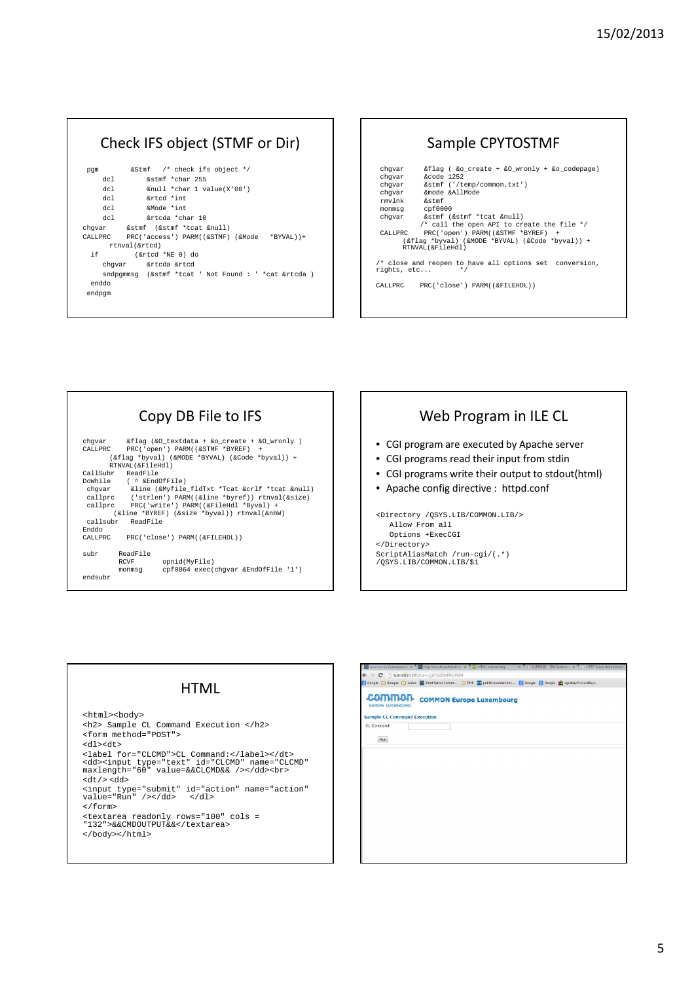### Check IFS object (STMF or Dir)

| pqm    | &Stmf /* check ifs object */                         |
|--------|------------------------------------------------------|
| del -  | &stmf *char 255                                      |
| del -  | &null *char 1 value(X'00')                           |
| del -  | &rtcd *int                                           |
| del -  | &Mode *int                                           |
| del -  | &rteda *char 10                                      |
|        | chqvar &stmf (&stmf *tcat &null)                     |
|        | CALLPRC PRC('access') PARM((&STMF) (&Mode *BYVAL))+  |
|        | rtnyal(&rtcd)                                        |
| if i   | (&rtcd *NE 0) do                                     |
|        | chqvar &rtcda &rtcd                                  |
|        | sndpgmmsg (&stmf *tcat ' Not Found : ' *cat &rtcda ) |
| enddo  |                                                      |
| endpqm |                                                      |
|        |                                                      |

#### Sample CPYTOSTMF

| $\&$ flag ( &o create + &O wronly + &o codepage)                       |  |  |  |  |
|------------------------------------------------------------------------|--|--|--|--|
| $%code$ 1252                                                           |  |  |  |  |
| &stmf ('/temp/common.txt')                                             |  |  |  |  |
| &mode &AllMode                                                         |  |  |  |  |
| - &stmf                                                                |  |  |  |  |
| monmsq cpf0000                                                         |  |  |  |  |
| &stmf (&stmf *tcat &null)                                              |  |  |  |  |
| /* call the open API to create the file $*/$                           |  |  |  |  |
| PRC('open') PARM((&STMF *BYREF) +                                      |  |  |  |  |
| (&flaq *byval) (&MODE *BYVAL) (&Code *byval)) +                        |  |  |  |  |
| RTNVAL(&FileHdl)                                                       |  |  |  |  |
|                                                                        |  |  |  |  |
| /* close and reopen to have all options set conversion,<br>rights, etc |  |  |  |  |
| $*$                                                                    |  |  |  |  |
|                                                                        |  |  |  |  |
| PRC('close') PARM((&FILEHDL))                                          |  |  |  |  |
|                                                                        |  |  |  |  |
|                                                                        |  |  |  |  |



# Web Program in ILE CL

- CGI program are executed by Apache server
- CGI programs read their input from stdin
- CGI programs write their output to stdout(html)
- Apache config directive : httpd.conf

<Directory /QSYS.LIB/COMMON.LIB/> Allow From all Options +ExecCGI </Directory> ScriptAliasMatch /run-cgi/(.\*) /QSYS.LIB/COMMON.LIB/\$1

#### **HTML**

<html><body> <h2> Sample CL Command Execution </h2> <form method="POST"> <dl><dt> <label for="CLCMD">CL Command:</label></dt> <dd><input type="text" id="CLCMD" name="CLCMD" maxlength="60" value=&&CLCMD&& /></dd><br> <dt/> <dd> <input type="submit" id="action" name="action" value="Run" /></dd> </dl> </form>

- <textarea readonly rows="100" cols = "132">&&CMDOUTPUT&&</textarea>
- </body></html>

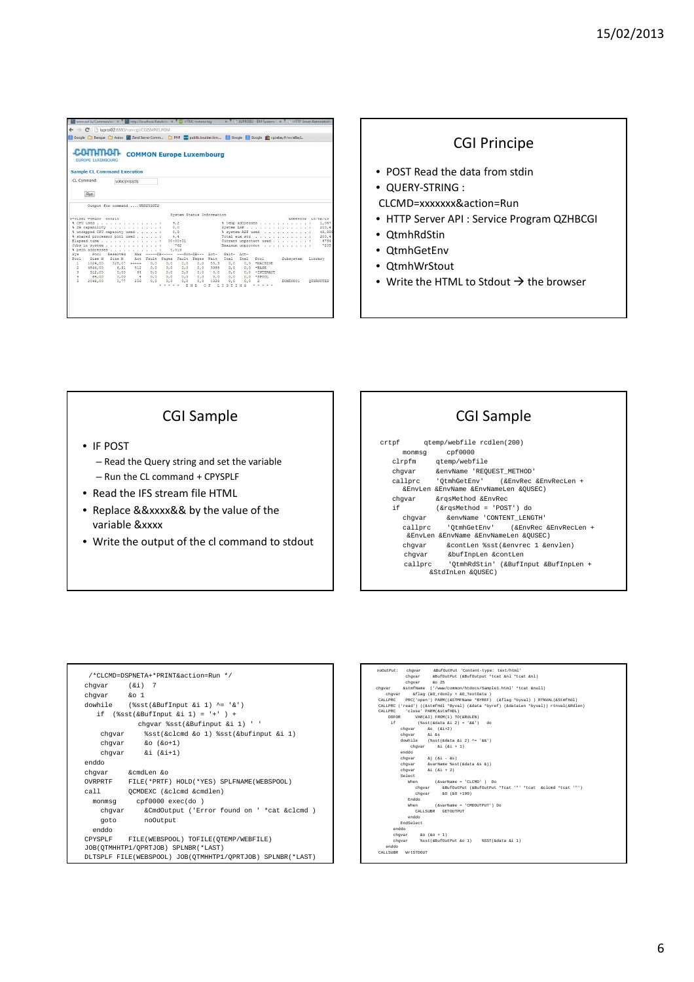|              | $\leftarrow$ $\rightarrow$ C                                            | h luproi02:8880/run-cai/CGISMP01.PGM |                                 |                 |            |                           |            |                        |                   |              |                                                                                                              |                                          |                                           |
|--------------|-------------------------------------------------------------------------|--------------------------------------|---------------------------------|-----------------|------------|---------------------------|------------|------------------------|-------------------|--------------|--------------------------------------------------------------------------------------------------------------|------------------------------------------|-------------------------------------------|
|              |                                                                         |                                      |                                 |                 |            |                           |            |                        |                   |              | Google Banque Autos Z Zend Server Comm D PHP 20 public boulder ibm N Google R Google C cqi.ebay.fr/ws/eBayL. |                                          |                                           |
|              | COMMO<br><b>FUROPE LUXEMBOURG</b><br><b>Sample CL Command Execution</b> |                                      | <b>COMMON Europe Luxembourg</b> |                 |            |                           |            |                        |                   |              |                                                                                                              |                                          |                                           |
|              | CL Command:                                                             | <b>WRKSYSSTS</b>                     |                                 |                 |            |                           |            |                        |                   |              |                                                                                                              |                                          |                                           |
|              | Run                                                                     |                                      |                                 |                 |            |                           |            |                        |                   |              |                                                                                                              |                                          |                                           |
|              |                                                                         | Output for command WRKSYSSTS         |                                 |                 |            |                           |            |                        |                   |              |                                                                                                              |                                          |                                           |
|              | STATEST VADING GROZIS                                                   |                                      |                                 |                 |            | System Status Information |            |                        |                   |              |                                                                                                              |                                          | LUPROTOR 15/02/13                         |
|              | & CPU used                                                              |                                      |                                 |                 | 9.2        |                           |            |                        |                   |              |                                                                                                              | % temp addresses                         | 1.057                                     |
|              | % DB capability :                                                       |                                      |                                 |                 | 0.0        |                           |            |                        |                   |              |                                                                                                              | Svatem ASP                               | 200.4                                     |
|              | % uncapped CPU capacity used :                                          |                                      |                                 |                 | 0.9        |                           |            |                        |                   |              |                                                                                                              | % system ASP used :                      | 48,888                                    |
|              |                                                                         |                                      |                                 |                 | 4.4        |                           |            |                        |                   |              |                                                                                                              | Total aux sto is a service and a service |                                           |
|              | % shared processor pool used :                                          |                                      |                                 |                 |            |                           |            |                        |                   |              |                                                                                                              |                                          |                                           |
|              | Elapsed time                                                            |                                      |                                 |                 | 00:00:01   |                           |            |                        |                   |              |                                                                                                              | Current unprotect used :                 |                                           |
|              | Jobs in system                                                          |                                      |                                 |                 |            | 762                       |            |                        | Maximum unprotect |              |                                                                                                              | and a straight and a state of the        |                                           |
|              | % perm addresses                                                        |                                      |                                 |                 | 0.013      |                           |            |                        |                   |              |                                                                                                              |                                          |                                           |
| Sva<br>Pool. | Pool                                                                    | Reserved                             |                                 |                 |            | ---Non-DR--- Act-         |            |                        | Madrid-           | <b>Bett-</b> |                                                                                                              |                                          |                                           |
| ٠            | Size N                                                                  | Size H                               |                                 | Act Fault Pages |            | Fault                     | Pages      | Wait                   | Inel              | Inel.        | Pool                                                                                                         | Subsvstem                                | Library                                   |
| ٥            | 1024,00<br>4544,00                                                      | $328,07$ $***$<br>6.91               | 512                             | 0.0<br>0.0      | 0.0<br>0.0 | 0.0<br>0.0                | 0.0<br>0.0 | 55,3<br>3985           | 0.0<br>0.0        |              | 0.0 *MACHINE<br>0.0 *BASE                                                                                    |                                          |                                           |
| Ň.           | 512,00                                                                  | 0.00                                 | 64                              | 0.0             | 0.0        | 0.0                       | 0.0        | 0.0                    | 0.0               | 0.0          | <b>*TNTERACT</b>                                                                                             |                                          |                                           |
| 4            | 64.00                                                                   | 0,00                                 | $-4$                            | 0.0             | 0.0        | 0.0                       | 0.0        | 0.0                    | 0.0               |              | 0.0 *SPOOL                                                                                                   |                                          |                                           |
| k,           | 2048.00                                                                 | 0.77                                 | 256                             | 0.0             | 0.0<br>.   | 0.0<br>E N D              | 0.0        | 1328<br>O <sub>F</sub> | 0.0<br>LISTING    | 0.0          | $\overline{\mathbf{z}}$<br>.                                                                                 | DOMINO01                                 | 200.4<br>6734<br>7209<br><b>OUSRNOTES</b> |
|              |                                                                         |                                      |                                 |                 |            |                           |            |                        |                   |              |                                                                                                              |                                          |                                           |

### CGI Principe

- POST Read the data from stdin
- QUERY-STRING :
- CLCMD=xxxxxxx&action=Run
- HTTP Server API : Service Program QZHBCGI
- QtmhRdStin
- QtmhGetEnv
- QtmhWrStout
- Write the HTML to Stdout  $\rightarrow$  the browser

#### CGI Sample

- IF POST
	- Read the Query string and set the variable – Run the CL command + CPYSPLF
- Read the IFS stream file HTML
- Replace &&xxxx&& by the value of the variable &xxxx
- Write the output of the cl command to stdout

# CGI Sample

|        | crtpf qtemp/webfile rcdlen(200)                                                    |  |
|--------|------------------------------------------------------------------------------------|--|
| monmsq | cpf0000                                                                            |  |
|        | clrpfm qtemp/webfile                                                               |  |
|        | chqvar & envName 'REQUEST METHOD'                                                  |  |
|        | callprc 'OtmhGetEnv' (&EnvRec &EnvRecLen +                                         |  |
|        | &EnvLen &EnvName &EnvNameLen &OUSEC)                                               |  |
| chqvar | &rgsMethod &EnvRec                                                                 |  |
| if i   | (&rgsMethod = 'POST') do                                                           |  |
| chqvar | &envName 'CONTENT LENGTH'                                                          |  |
|        | callprc 'OtmhGetEnv' (&EnvRec &EnvRecLen +<br>&EnvLen &EnvName &EnvNameLen &OUSEC) |  |
| chqvar | &contLen %sst(&envrec 1 &envlen)                                                   |  |
| chqvar | &bufInpLen &contLen                                                                |  |
|        | &StdInLen &OUSEC)                                                                  |  |
|        |                                                                                    |  |

|                   | /*CLCMD=DSPNETA+*PRINT&action=Run */                       |
|-------------------|------------------------------------------------------------|
|                   |                                                            |
| chqvar $(\& i)$ 7 |                                                            |
| chqvar &o 1       |                                                            |
|                   | dowhile  (\$sst (& Buf Input & i 1) ^= '&')                |
|                   | if $(\$sst(&ButInput & i 1) = '+' ) +$                     |
|                   | chgvar %sst(&Bufinput &i 1) ' '                            |
|                   | chqvar %sst(&clcmd &o 1) %sst(&bufinput &i 1)              |
|                   | chqvar $\&o$ ( $\&o+1$ )                                   |
|                   | chqvar $\&i$ ( $\&i+1$ )                                   |
| enddo             |                                                            |
|                   | chqvar & cmdLen &o                                         |
| OVRPRTF           | FILE(*PRTF) HOLD(*YES) SPLFNAME(WEBSPOOL)                  |
|                   | call OCMDEXC (&clcmd &cmdlen)                              |
|                   | monmsq cpf0000 exec(do)                                    |
|                   | chqvar & CmdOutput ('Error found on ' *cat & clcmd )       |
|                   | qoto noOutput                                              |
| enddo             |                                                            |
| CPYSPLF           | FILE(WEBSPOOL) TOFILE(OTEMP/WEBFILE)                       |
|                   | JOB (OTMHHTP1/OPRTJOB) SPLNBR (*LAST)                      |
|                   | DLTSPLF FILE(WEBSPOOL) JOB(OTMHHTP1/OPRTJOB) SPLNBR(*LAST) |

|         | noOutPut: chgvar &BufOutPut 'Content-type: text/html'                                |
|---------|--------------------------------------------------------------------------------------|
|         | chgvar &BufOutPut (&BufOutput *tcat &nl *tcat &nl)                                   |
|         | chgvar &o 25                                                                         |
|         | chgvar &stmfName ('/www/common/htdocs/Samplel.html' *tcat &null)                     |
| chavar  | &flag (&O_rdonly + &O_TextData )                                                     |
| CALLPRC | PRC('open') PARM((&STMFName *BYREF) (&flag *bvval) ) RTNVAL(&StmfHdl)                |
|         | CALLPRC ('read') ((&stmfHdl *Byval) (&data *byref) (&dataLen *byval)) rtnval(&Rdlen) |
|         | CALLPRC 'close' PARM(&stmfHDL)                                                       |
|         | DOFOR VAR(&I) FROM(1) TO(&RdLEN)                                                     |
| i.f.    | $(\frac{1}{2}$ sst $(\frac{1}{2}d$ ata &i 2) = '&&') do                              |
|         | $chavar$ &s $(ki+2)$                                                                 |
|         | chqvar &i &s                                                                         |
|         | dowhile (%sst(&data &i 2) ^= '&&')                                                   |
|         | chavar $\&i$ $(ki + 1)$                                                              |
|         | enddo                                                                                |
|         | chqvar $\&j$ $(ki - ks)$                                                             |
|         | chgvar &varName %sst (&data &s &j)                                                   |
|         | chovar $\&i$ $(ki + 2)$                                                              |
|         | Select                                                                               |
|         | (&varName = 'CLCMD' ) Do<br>When                                                     |
|         | chgvar &BufOutPut (&BufOutPut *Tcat '"' *tcat &clcmd *tcat '"')                      |
|         | chovar &0 (&0 +100)                                                                  |
|         | Rnddo.                                                                               |
|         | When (&varName = 'CMDOUTPUT') Do                                                     |
|         | CALLSUBR GETOUTPUT                                                                   |
|         | chbne.                                                                               |
|         | EndSelect                                                                            |
| enddo   |                                                                                      |
|         | chgvar &o $(60 + 1)$                                                                 |
| chovar  | %sst(&BufOutPut &o 1) %SST(&data &i 1)                                               |
| enddo.  |                                                                                      |
|         | CALLSURE WEESTDOUT                                                                   |